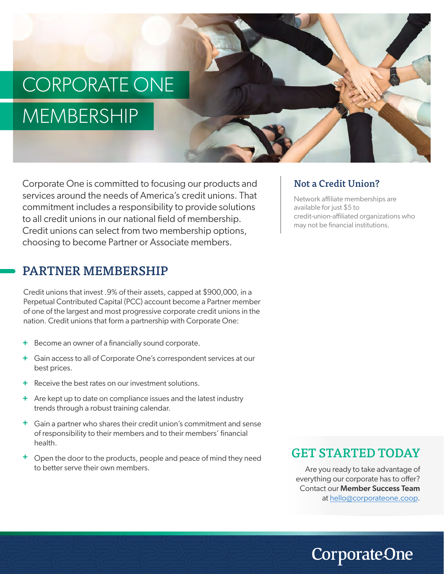# CORPORATE ONE MEMBERSHIP

Corporate One is committed to focusing our products and services around the needs of America's credit unions. That commitment includes a responsibility to provide solutions to all credit unions in our national field of membership. Credit unions can select from two membership options, choosing to become Partner or Associate members.

#### PARTNER MEMBERSHIP

Credit unions that invest .9% of their assets, capped at \$900,000, in a Perpetual Contributed Capital (PCC) account become a Partner member of one of the largest and most progressive corporate credit unions in the nation. Credit unions that form a partnership with Corporate One:

- + Become an owner of a financially sound corporate.
- Gain access to all of Corporate One's correspondent services at our **+** best prices.
- + Receive the best rates on our investment solutions.
- Are kept up to date on compliance issues and the latest industry **+** trends through a robust training calendar.
- Gain a partner who shares their credit union's commitment and sense **+** of responsibility to their members and to their members' financial health.
- Open the door to the products, people and peace of mind they need to better serve their own members. **+**

#### Not a Credit Union?

Network affiliate memberships are available for just \$5 to credit-union-affiliated organizations who may not be financial institutions.

#### GET STARTED TODAY

Are you ready to take advantage of everything our corporate has to offer? Contact our Member Success Team at hello@corporateone.coop.

## **CorporateOne**